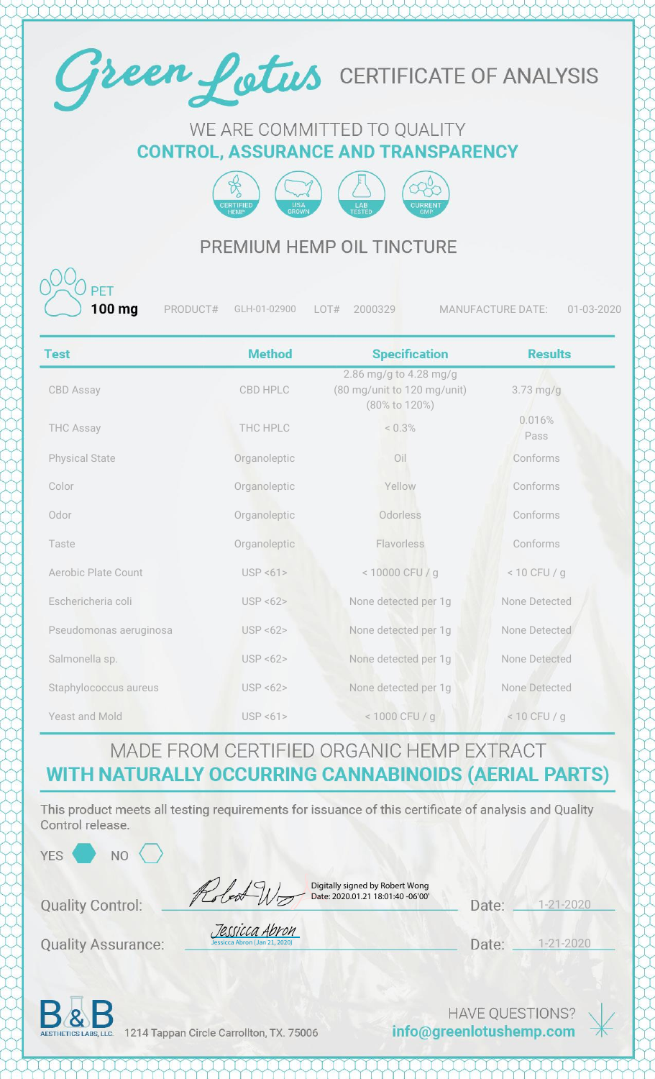

#### WE ARE COMMITTED TO QUALITY **CONTROL, ASSURANCE AND TRANSPARENCY**



### PREMIUM HEMP OIL TINCTURE

100 ma

PRODUCT# GLH-01-02900 LOT# 2000329 MANUFACTURE DATE: 01-03-2020

| <b>Test</b>            | <b>Method</b>   | <b>Specification</b>                                                   | <b>Results</b> |
|------------------------|-----------------|------------------------------------------------------------------------|----------------|
| <b>CBD Assay</b>       | <b>CBD HPLC</b> | 2.86 mg/g to 4.28 mg/g<br>(80 mg/unit to 120 mg/unit)<br>(80% to 120%) | $3.73$ mg/g    |
| <b>THC Assay</b>       | THC HPLC        | $< 0.3\%$                                                              | 0.016%<br>Pass |
| <b>Physical State</b>  | Organoleptic    | Oil                                                                    | Conforms       |
| Color                  | Organoleptic    | Yellow                                                                 | Conforms       |
| Odor                   | Organoleptic    | Odorless                                                               | Conforms       |
| Taste                  | Organoleptic    | Flavorless                                                             | Conforms       |
| Aerobic Plate Count    | USP < 61        | < 10000 CFU / g                                                        | $< 10$ CFU / g |
| Eschericheria coli     | USP < 62        | None detected per 1g                                                   | None Detected  |
| Pseudomonas aeruginosa | USP < 62        | None detected per 1g                                                   | None Detected  |
| Salmonella sp.         | USP < 62        | None detected per 1g                                                   | None Detected  |
| Staphylococcus aureus  | USP < 62        | None detected per 1g                                                   | None Detected  |
| Yeast and Mold         | USP < 61        | < 1000 CFU / g                                                         | $< 10$ CFU / g |

#### MADE FROM CERTIFIED ORGANIC HEMP EXTRACT **WITH NATURALLY OCCURRING CANNABINOIDS (AERIAL PARTS)**

This product meets all testing requirements for issuance of this certificate of analysis and Quality Control release.

| <b>YES</b> | NΟ |
|------------|----|
|            |    |

| <b>Quality Control:</b> | Robert Wo |
|-------------------------|-----------|
|                         |           |

Digitally signed by Robert Wong Date: 2020.01.21 18:01:40 -06'00'

1-21-2020 Date:

**Quality Assurance:** 

Date: \_\_ 1-21-2020



1214 Tappan Circle Carrollton, TX. 75006

Jessicca Abron (Jan 21, 2020) [Jessicca Abron](https://na2.documents.adobe.com/verifier?tx=CBJCHBCAABAAxNmFiCrau4oqgTstHKLxYbVIhlfjPL1i)

> **HAVE QUESTIONS?** info@greenlotushemp.com